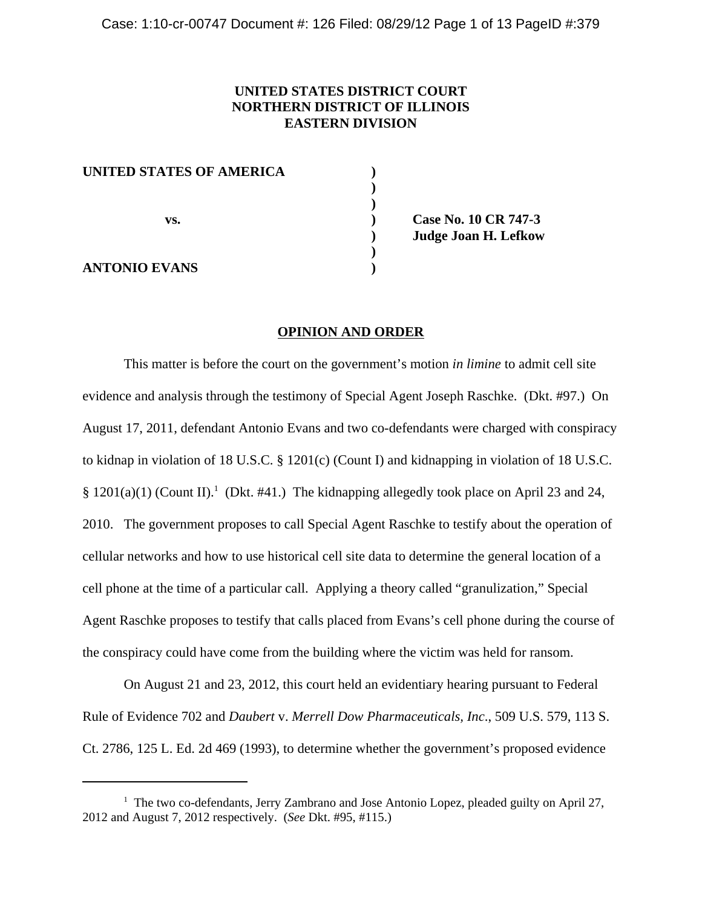# **UNITED STATES DISTRICT COURT NORTHERN DISTRICT OF ILLINOIS EASTERN DIVISION**

| UNITED STATES OF AMERICA |  |
|--------------------------|--|
|                          |  |
|                          |  |
| VS.                      |  |
|                          |  |
|                          |  |
| <b>ANTONIO EVANS</b>     |  |

**vs. ) Case No. 10 CR 747-3 ) Judge Joan H. Lefkow**

## **OPINION AND ORDER**

This matter is before the court on the government's motion *in limine* to admit cell site evidence and analysis through the testimony of Special Agent Joseph Raschke. (Dkt. #97.) On August 17, 2011, defendant Antonio Evans and two co-defendants were charged with conspiracy to kidnap in violation of 18 U.S.C. § 1201(c) (Count I) and kidnapping in violation of 18 U.S.C. §  $1201(a)(1)$  (Count II).<sup>1</sup> (Dkt. #41.) The kidnapping allegedly took place on April 23 and 24, 2010. The government proposes to call Special Agent Raschke to testify about the operation of cellular networks and how to use historical cell site data to determine the general location of a cell phone at the time of a particular call. Applying a theory called "granulization," Special Agent Raschke proposes to testify that calls placed from Evans's cell phone during the course of the conspiracy could have come from the building where the victim was held for ransom.

On August 21 and 23, 2012, this court held an evidentiary hearing pursuant to Federal Rule of Evidence 702 and *Daubert* v. *Merrell Dow Pharmaceuticals, Inc*., 509 U.S. 579, 113 S. Ct. 2786, 125 L. Ed. 2d 469 (1993), to determine whether the government's proposed evidence

<sup>&</sup>lt;sup>1</sup> The two co-defendants, Jerry Zambrano and Jose Antonio Lopez, pleaded guilty on April 27, 2012 and August 7, 2012 respectively. (*See* Dkt. #95, #115.)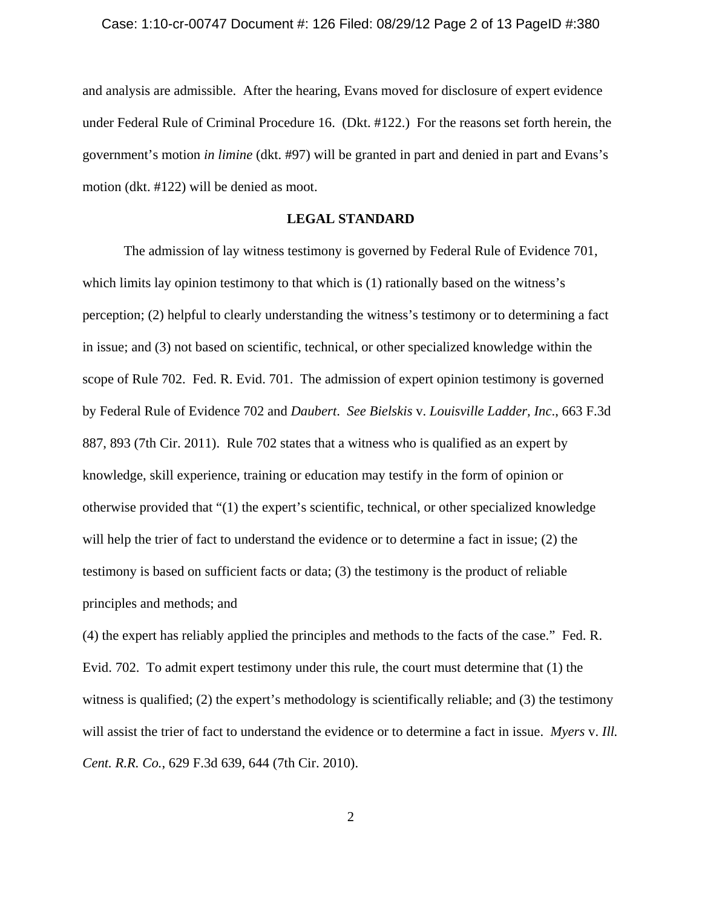and analysis are admissible. After the hearing, Evans moved for disclosure of expert evidence under Federal Rule of Criminal Procedure 16. (Dkt. #122.) For the reasons set forth herein, the government's motion *in limine* (dkt. #97) will be granted in part and denied in part and Evans's motion (dkt. #122) will be denied as moot.

### **LEGAL STANDARD**

The admission of lay witness testimony is governed by Federal Rule of Evidence 701, which limits lay opinion testimony to that which is (1) rationally based on the witness's perception; (2) helpful to clearly understanding the witness's testimony or to determining a fact in issue; and (3) not based on scientific, technical, or other specialized knowledge within the scope of Rule 702. Fed. R. Evid. 701. The admission of expert opinion testimony is governed by Federal Rule of Evidence 702 and *Daubert*. *See Bielskis* v. *Louisville Ladder, Inc*., 663 F.3d 887, 893 (7th Cir. 2011). Rule 702 states that a witness who is qualified as an expert by knowledge, skill experience, training or education may testify in the form of opinion or otherwise provided that "(1) the expert's scientific, technical, or other specialized knowledge will help the trier of fact to understand the evidence or to determine a fact in issue; (2) the testimony is based on sufficient facts or data; (3) the testimony is the product of reliable principles and methods; and

(4) the expert has reliably applied the principles and methods to the facts of the case." Fed. R. Evid. 702. To admit expert testimony under this rule, the court must determine that (1) the witness is qualified; (2) the expert's methodology is scientifically reliable; and (3) the testimony will assist the trier of fact to understand the evidence or to determine a fact in issue. *Myers* v. *Ill. Cent. R.R. Co.*, 629 F.3d 639, 644 (7th Cir. 2010).

2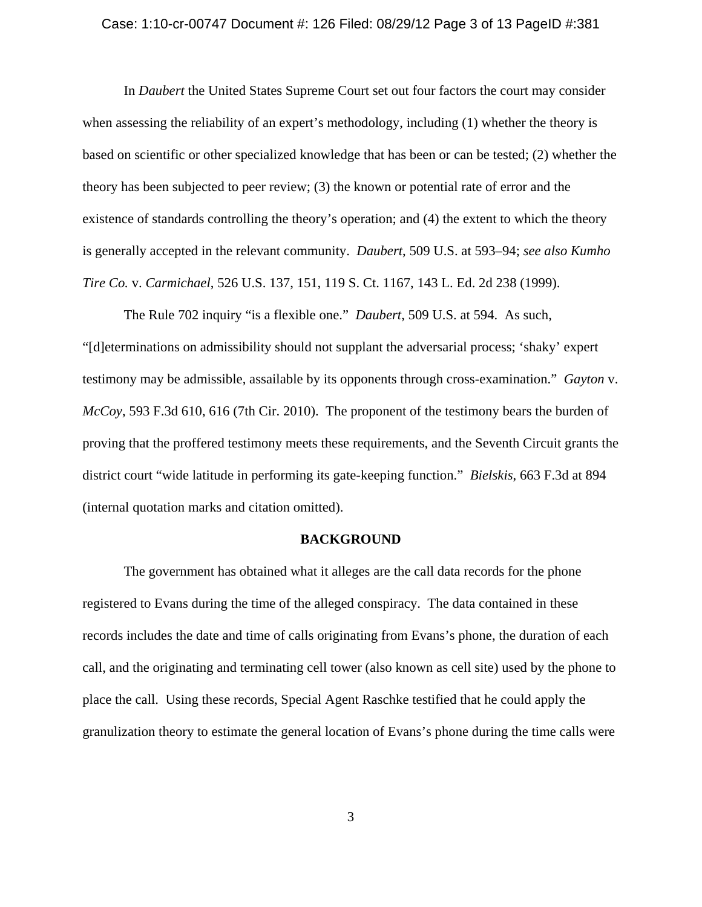#### Case: 1:10-cr-00747 Document #: 126 Filed: 08/29/12 Page 3 of 13 PageID #:381

In *Daubert* the United States Supreme Court set out four factors the court may consider when assessing the reliability of an expert's methodology, including (1) whether the theory is based on scientific or other specialized knowledge that has been or can be tested; (2) whether the theory has been subjected to peer review; (3) the known or potential rate of error and the existence of standards controlling the theory's operation; and (4) the extent to which the theory is generally accepted in the relevant community. *Daubert*, 509 U.S. at 593–94; *see also Kumho Tire Co.* v. *Carmichael*, 526 U.S. 137, 151, 119 S. Ct. 1167, 143 L. Ed. 2d 238 (1999).

The Rule 702 inquiry "is a flexible one." *Daubert*, 509 U.S. at 594. As such, "[d]eterminations on admissibility should not supplant the adversarial process; 'shaky' expert testimony may be admissible, assailable by its opponents through cross-examination." *Gayton* v. *McCoy*, 593 F.3d 610, 616 (7th Cir. 2010). The proponent of the testimony bears the burden of proving that the proffered testimony meets these requirements, and the Seventh Circuit grants the district court "wide latitude in performing its gate-keeping function." *Bielskis*, 663 F.3d at 894 (internal quotation marks and citation omitted).

## **BACKGROUND**

The government has obtained what it alleges are the call data records for the phone registered to Evans during the time of the alleged conspiracy. The data contained in these records includes the date and time of calls originating from Evans's phone, the duration of each call, and the originating and terminating cell tower (also known as cell site) used by the phone to place the call. Using these records, Special Agent Raschke testified that he could apply the granulization theory to estimate the general location of Evans's phone during the time calls were

3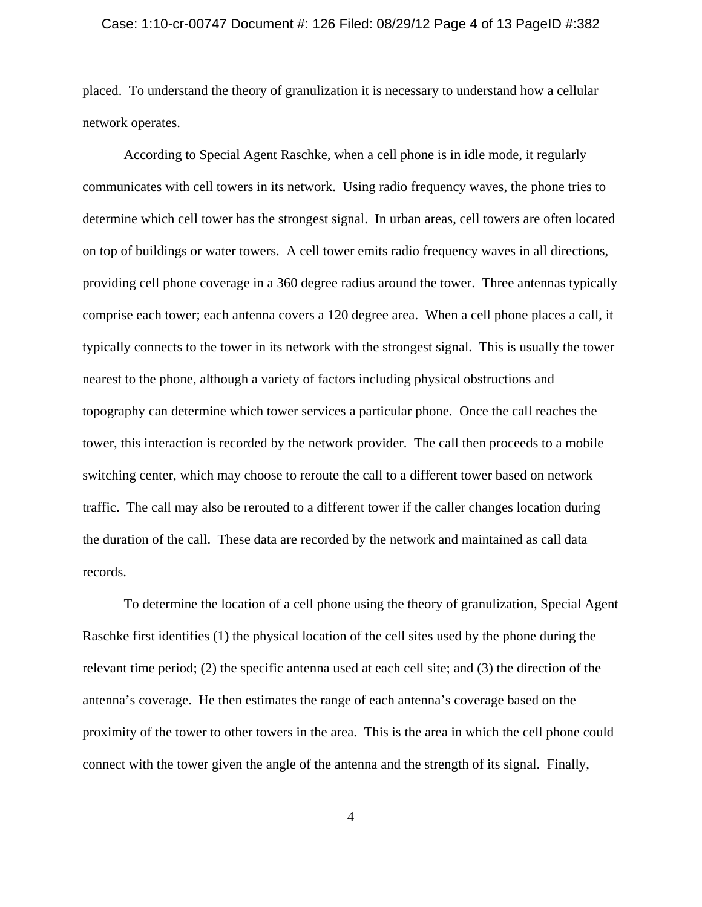#### Case: 1:10-cr-00747 Document #: 126 Filed: 08/29/12 Page 4 of 13 PageID #:382

placed. To understand the theory of granulization it is necessary to understand how a cellular network operates.

According to Special Agent Raschke, when a cell phone is in idle mode, it regularly communicates with cell towers in its network. Using radio frequency waves, the phone tries to determine which cell tower has the strongest signal. In urban areas, cell towers are often located on top of buildings or water towers. A cell tower emits radio frequency waves in all directions, providing cell phone coverage in a 360 degree radius around the tower. Three antennas typically comprise each tower; each antenna covers a 120 degree area. When a cell phone places a call, it typically connects to the tower in its network with the strongest signal. This is usually the tower nearest to the phone, although a variety of factors including physical obstructions and topography can determine which tower services a particular phone. Once the call reaches the tower, this interaction is recorded by the network provider. The call then proceeds to a mobile switching center, which may choose to reroute the call to a different tower based on network traffic. The call may also be rerouted to a different tower if the caller changes location during the duration of the call.These data are recorded by the network and maintained as call data records.

To determine the location of a cell phone using the theory of granulization, Special Agent Raschke first identifies (1) the physical location of the cell sites used by the phone during the relevant time period; (2) the specific antenna used at each cell site; and (3) the direction of the antenna's coverage. He then estimates the range of each antenna's coverage based on the proximity of the tower to other towers in the area. This is the area in which the cell phone could connect with the tower given the angle of the antenna and the strength of its signal. Finally,

4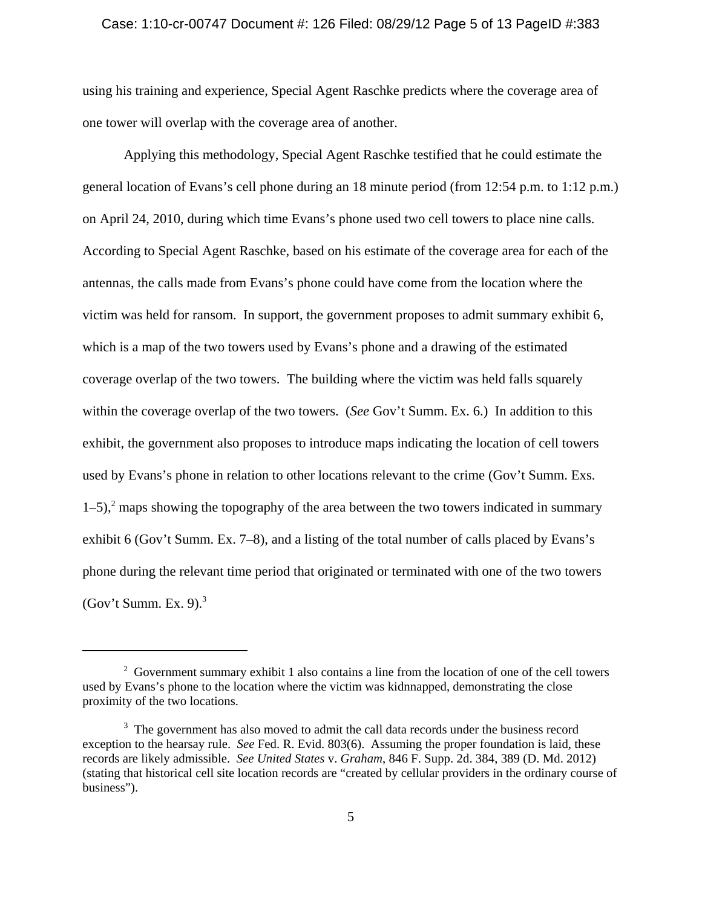### Case: 1:10-cr-00747 Document #: 126 Filed: 08/29/12 Page 5 of 13 PageID #:383

using his training and experience, Special Agent Raschke predicts where the coverage area of one tower will overlap with the coverage area of another.

Applying this methodology, Special Agent Raschke testified that he could estimate the general location of Evans's cell phone during an 18 minute period (from 12:54 p.m. to 1:12 p.m.) on April 24, 2010, during which time Evans's phone used two cell towers to place nine calls. According to Special Agent Raschke, based on his estimate of the coverage area for each of the antennas, the calls made from Evans's phone could have come from the location where the victim was held for ransom. In support, the government proposes to admit summary exhibit 6, which is a map of the two towers used by Evans's phone and a drawing of the estimated coverage overlap of the two towers. The building where the victim was held falls squarely within the coverage overlap of the two towers. (*See* Gov't Summ. Ex. 6.) In addition to this exhibit, the government also proposes to introduce maps indicating the location of cell towers used by Evans's phone in relation to other locations relevant to the crime (Gov't Summ. Exs.  $1-5$ ,<sup>2</sup> maps showing the topography of the area between the two towers indicated in summary exhibit 6 (Gov't Summ. Ex. 7–8), and a listing of the total number of calls placed by Evans's phone during the relevant time period that originated or terminated with one of the two towers (Gov't Summ. Ex. 9). $3$ 

 $2^2$  Government summary exhibit 1 also contains a line from the location of one of the cell towers used by Evans's phone to the location where the victim was kidnnapped, demonstrating the close proximity of the two locations.

<sup>&</sup>lt;sup>3</sup> The government has also moved to admit the call data records under the business record exception to the hearsay rule. *See* Fed. R. Evid. 803(6). Assuming the proper foundation is laid, these records are likely admissible. *See United States* v. *Graham*, 846 F. Supp. 2d. 384, 389 (D. Md. 2012) (stating that historical cell site location records are "created by cellular providers in the ordinary course of business").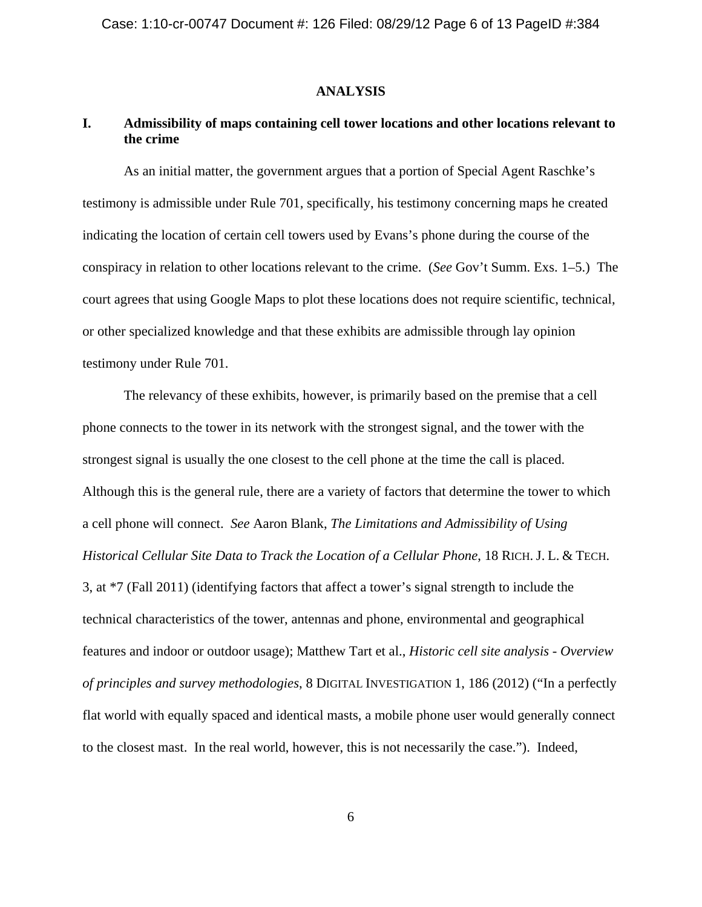## **ANALYSIS**

# **I. Admissibility of maps containing cell tower locations and other locations relevant to the crime**

As an initial matter, the government argues that a portion of Special Agent Raschke's testimony is admissible under Rule 701, specifically, his testimony concerning maps he created indicating the location of certain cell towers used by Evans's phone during the course of the conspiracy in relation to other locations relevant to the crime. (*See* Gov't Summ. Exs. 1–5.) The court agrees that using Google Maps to plot these locations does not require scientific, technical, or other specialized knowledge and that these exhibits are admissible through lay opinion testimony under Rule 701.

The relevancy of these exhibits, however, is primarily based on the premise that a cell phone connects to the tower in its network with the strongest signal, and the tower with the strongest signal is usually the one closest to the cell phone at the time the call is placed. Although this is the general rule, there are a variety of factors that determine the tower to which a cell phone will connect. *See* Aaron Blank, *The Limitations and Admissibility of Using Historical Cellular Site Data to Track the Location of a Cellular Phone*, 18 RICH. J. L. & TECH. 3, at \*7 (Fall 2011) (identifying factors that affect a tower's signal strength to include the technical characteristics of the tower, antennas and phone, environmental and geographical features and indoor or outdoor usage); Matthew Tart et al., *Historic cell site analysis - Overview of principles and survey methodologies*, 8 DIGITAL INVESTIGATION 1, 186 (2012) ("In a perfectly flat world with equally spaced and identical masts, a mobile phone user would generally connect to the closest mast. In the real world, however, this is not necessarily the case."). Indeed,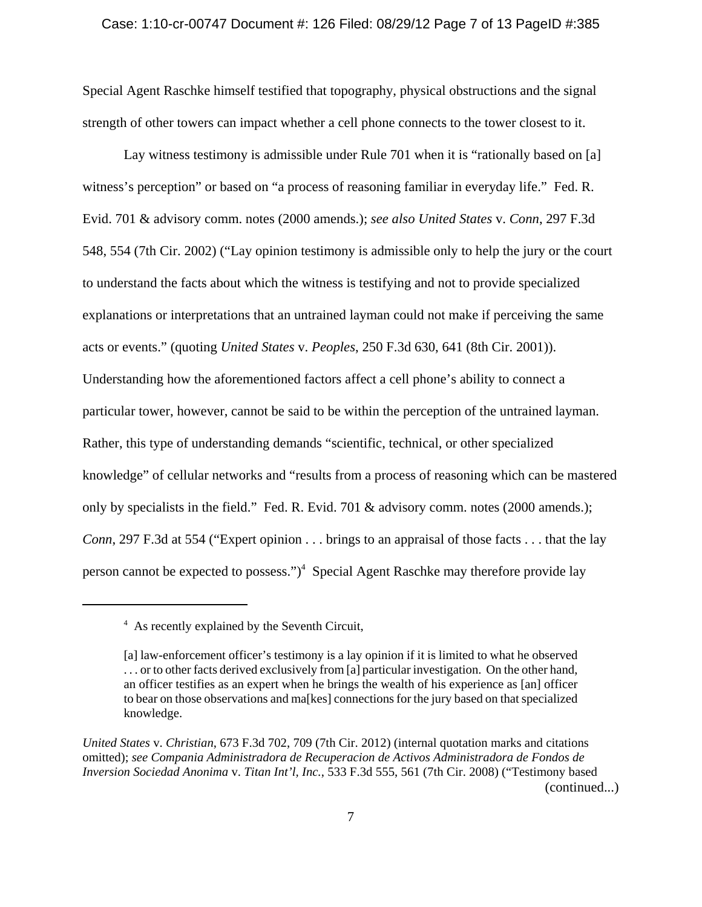### Case: 1:10-cr-00747 Document #: 126 Filed: 08/29/12 Page 7 of 13 PageID #:385

Special Agent Raschke himself testified that topography, physical obstructions and the signal strength of other towers can impact whether a cell phone connects to the tower closest to it.

Lay witness testimony is admissible under Rule 701 when it is "rationally based on [a] witness's perception" or based on "a process of reasoning familiar in everyday life." Fed. R. Evid. 701 & advisory comm. notes (2000 amends.); *see also United States* v. *Conn*, 297 F.3d 548, 554 (7th Cir. 2002) ("Lay opinion testimony is admissible only to help the jury or the court to understand the facts about which the witness is testifying and not to provide specialized explanations or interpretations that an untrained layman could not make if perceiving the same acts or events." (quoting *United States* v. *Peoples*, 250 F.3d 630, 641 (8th Cir. 2001)). Understanding how the aforementioned factors affect a cell phone's ability to connect a particular tower, however, cannot be said to be within the perception of the untrained layman. Rather, this type of understanding demands "scientific, technical, or other specialized knowledge" of cellular networks and "results from a process of reasoning which can be mastered only by specialists in the field." Fed. R. Evid. 701 & advisory comm. notes (2000 amends.); *Conn*, 297 F.3d at 554 ("Expert opinion . . . brings to an appraisal of those facts . . . that the lay person cannot be expected to possess.")<sup>4</sup> Special Agent Raschke may therefore provide lay

<sup>&</sup>lt;sup>4</sup> As recently explained by the Seventh Circuit,

<sup>[</sup>a] law-enforcement officer's testimony is a lay opinion if it is limited to what he observed . . . or to other facts derived exclusively from [a] particular investigation. On the other hand, an officer testifies as an expert when he brings the wealth of his experience as [an] officer to bear on those observations and ma[kes] connections for the jury based on that specialized knowledge.

*United States* v. *Christian*, 673 F.3d 702, 709 (7th Cir. 2012) (internal quotation marks and citations omitted); *see Compania Administradora de Recuperacion de Activos Administradora de Fondos de Inversion Sociedad Anonima* v. *Titan Int'l, Inc.*, 533 F.3d 555, 561 (7th Cir. 2008) ("Testimony based (continued...)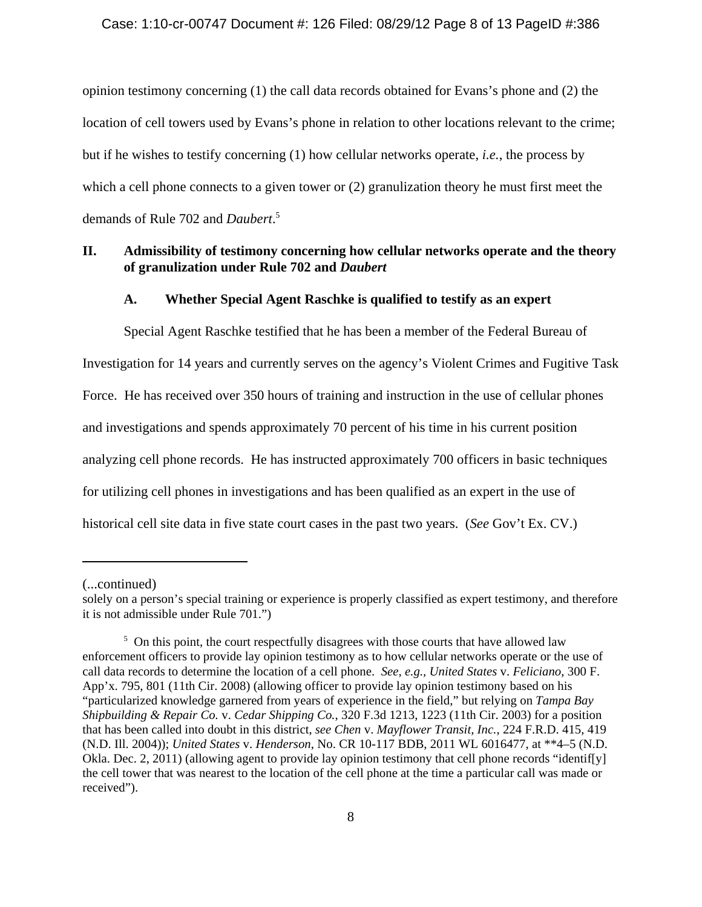## Case: 1:10-cr-00747 Document #: 126 Filed: 08/29/12 Page 8 of 13 PageID #:386

opinion testimony concerning (1) the call data records obtained for Evans's phone and (2) the location of cell towers used by Evans's phone in relation to other locations relevant to the crime; but if he wishes to testify concerning (1) how cellular networks operate, *i.e.*, the process by which a cell phone connects to a given tower or (2) granulization theory he must first meet the demands of Rule 702 and *Daubert*. 5

## **II. Admissibility of testimony concerning how cellular networks operate and the theory of granulization under Rule 702 and** *Daubert*

## **A. Whether Special Agent Raschke is qualified to testify as an expert**

Special Agent Raschke testified that he has been a member of the Federal Bureau of Investigation for 14 years and currently serves on the agency's Violent Crimes and Fugitive Task Force. He has received over 350 hours of training and instruction in the use of cellular phones and investigations and spends approximately 70 percent of his time in his current position analyzing cell phone records. He has instructed approximately 700 officers in basic techniques for utilizing cell phones in investigations and has been qualified as an expert in the use of historical cell site data in five state court cases in the past two years. (*See* Gov't Ex. CV.)

<sup>(...</sup>continued)

solely on a person's special training or experience is properly classified as expert testimony, and therefore it is not admissible under Rule 701.")

<sup>&</sup>lt;sup>5</sup> On this point, the court respectfully disagrees with those courts that have allowed law enforcement officers to provide lay opinion testimony as to how cellular networks operate or the use of call data records to determine the location of a cell phone. *See, e.g., United States* v. *Feliciano*, 300 F. App'x. 795, 801 (11th Cir. 2008) (allowing officer to provide lay opinion testimony based on his "particularized knowledge garnered from years of experience in the field," but relying on *Tampa Bay Shipbuilding & Repair Co.* v. *Cedar Shipping Co.*, 320 F.3d 1213, 1223 (11th Cir. 2003) for a position that has been called into doubt in this district, *see Chen* v. *Mayflower Transit, Inc.*, 224 F.R.D. 415, 419 (N.D. Ill. 2004)); *United States* v. *Henderson*, No. CR 10-117 BDB, 2011 WL 6016477, at \*\*4–5 (N.D. Okla. Dec. 2, 2011) (allowing agent to provide lay opinion testimony that cell phone records "identif[y] the cell tower that was nearest to the location of the cell phone at the time a particular call was made or received").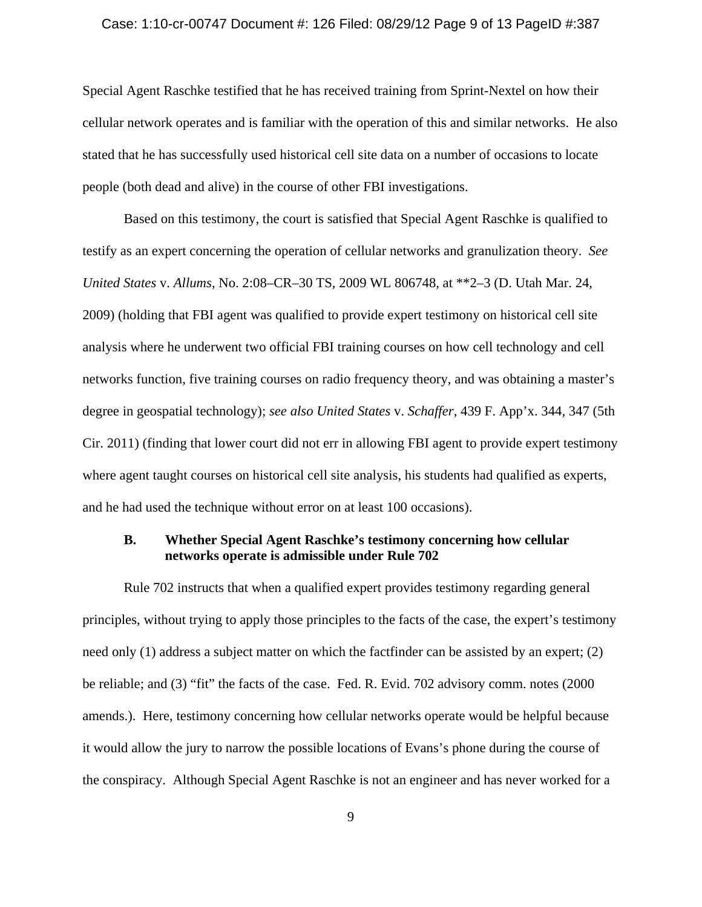#### Case: 1:10-cr-00747 Document #: 126 Filed: 08/29/12 Page 9 of 13 PageID #:387

Special Agent Raschke testified that he has received training from Sprint-Nextel on how their cellular network operates and is familiar with the operation of this and similar networks. He also stated that he has successfully used historical cell site data on a number of occasions to locate people (both dead and alive) in the course of other FBI investigations.

Based on this testimony, the court is satisfied that Special Agent Raschke is qualified to testify as an expert concerning the operation of cellular networks and granulization theory. *See United States* v. *Allums*, No. 2:08–CR–30 TS, 2009 WL 806748, at \*\*2–3 (D. Utah Mar. 24, 2009) (holding that FBI agent was qualified to provide expert testimony on historical cell site analysis where he underwent two official FBI training courses on how cell technology and cell networks function, five training courses on radio frequency theory, and was obtaining a master's degree in geospatial technology); *see also United States* v. *Schaffer*, 439 F. App'x. 344, 347 (5th Cir. 2011) (finding that lower court did not err in allowing FBI agent to provide expert testimony where agent taught courses on historical cell site analysis, his students had qualified as experts, and he had used the technique without error on at least 100 occasions).

## **B. Whether Special Agent Raschke's testimony concerning how cellular networks operate is admissible under Rule 702**

Rule 702 instructs that when a qualified expert provides testimony regarding general principles, without trying to apply those principles to the facts of the case, the expert's testimony need only (1) address a subject matter on which the factfinder can be assisted by an expert; (2) be reliable; and (3) "fit" the facts of the case. Fed. R. Evid. 702 advisory comm. notes (2000 amends.). Here, testimony concerning how cellular networks operate would be helpful because it would allow the jury to narrow the possible locations of Evans's phone during the course of the conspiracy. Although Special Agent Raschke is not an engineer and has never worked for a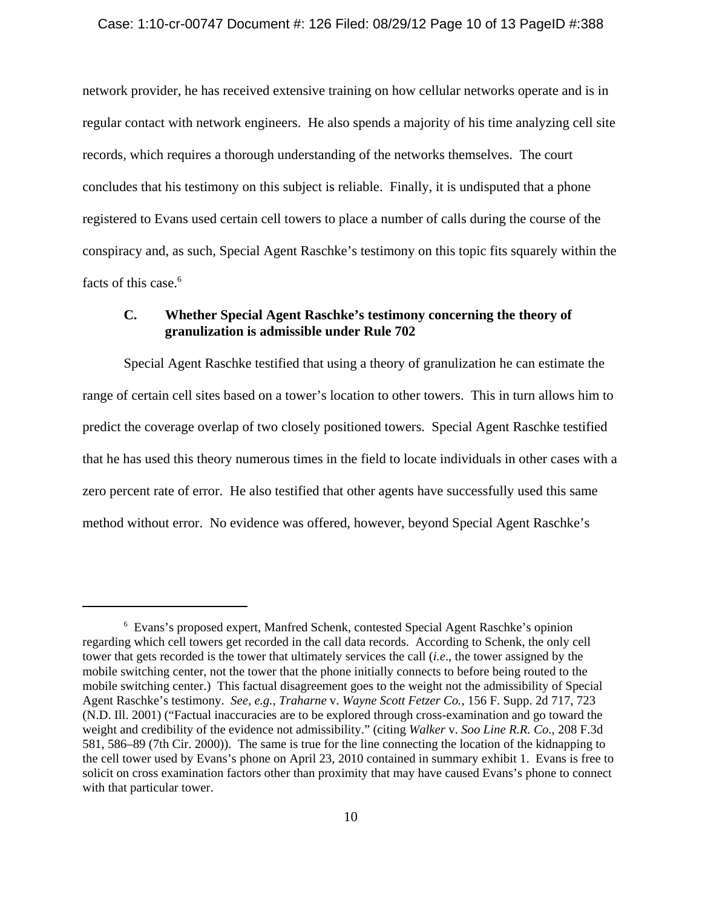### Case: 1:10-cr-00747 Document #: 126 Filed: 08/29/12 Page 10 of 13 PageID #:388

network provider, he has received extensive training on how cellular networks operate and is in regular contact with network engineers. He also spends a majority of his time analyzing cell site records, which requires a thorough understanding of the networks themselves. The court concludes that his testimony on this subject is reliable. Finally, it is undisputed that a phone registered to Evans used certain cell towers to place a number of calls during the course of the conspiracy and, as such, Special Agent Raschke's testimony on this topic fits squarely within the facts of this case.<sup>6</sup>

# **C. Whether Special Agent Raschke's testimony concerning the theory of granulization is admissible under Rule 702**

Special Agent Raschke testified that using a theory of granulization he can estimate the range of certain cell sites based on a tower's location to other towers. This in turn allows him to predict the coverage overlap of two closely positioned towers. Special Agent Raschke testified that he has used this theory numerous times in the field to locate individuals in other cases with a zero percent rate of error. He also testified that other agents have successfully used this same method without error. No evidence was offered, however, beyond Special Agent Raschke's

<sup>6</sup> Evans's proposed expert, Manfred Schenk, contested Special Agent Raschke's opinion regarding which cell towers get recorded in the call data records. According to Schenk, the only cell tower that gets recorded is the tower that ultimately services the call (*i.e*., the tower assigned by the mobile switching center, not the tower that the phone initially connects to before being routed to the mobile switching center.) This factual disagreement goes to the weight not the admissibility of Special Agent Raschke's testimony. *See, e.g., Traharne* v. *Wayne Scott Fetzer Co.*, 156 F. Supp. 2d 717, 723 (N.D. Ill. 2001) ("Factual inaccuracies are to be explored through cross-examination and go toward the weight and credibility of the evidence not admissibility." (citing *Walker* v. *Soo Line R.R. Co.*, 208 F.3d 581, 586–89 (7th Cir. 2000)). The same is true for the line connecting the location of the kidnapping to the cell tower used by Evans's phone on April 23, 2010 contained in summary exhibit 1. Evans is free to solicit on cross examination factors other than proximity that may have caused Evans's phone to connect with that particular tower.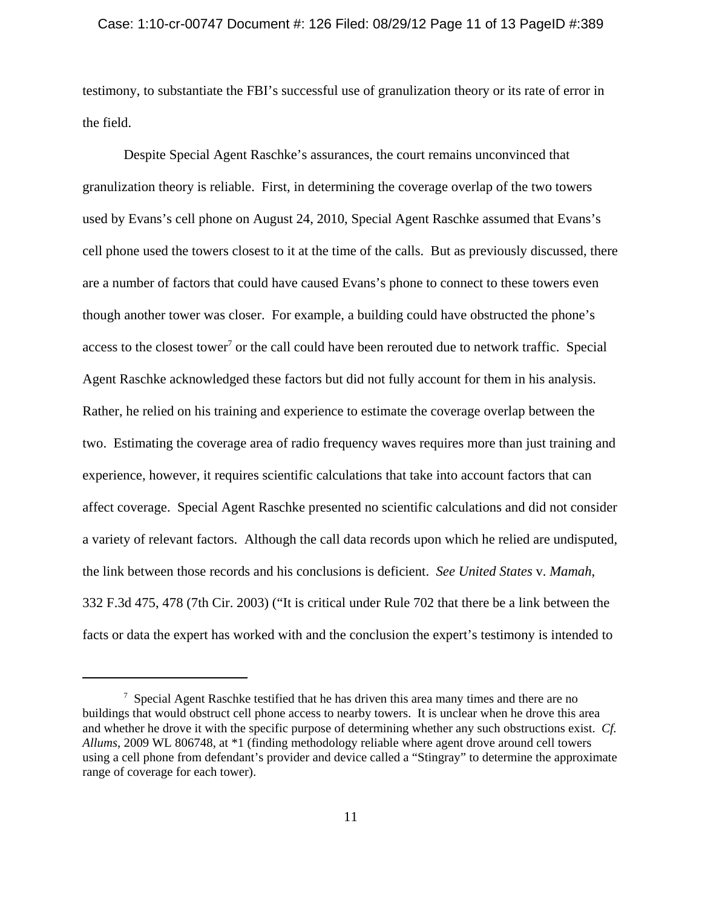### Case: 1:10-cr-00747 Document #: 126 Filed: 08/29/12 Page 11 of 13 PageID #:389

testimony, to substantiate the FBI's successful use of granulization theory or its rate of error in the field.

Despite Special Agent Raschke's assurances, the court remains unconvinced that granulization theory is reliable. First, in determining the coverage overlap of the two towers used by Evans's cell phone on August 24, 2010, Special Agent Raschke assumed that Evans's cell phone used the towers closest to it at the time of the calls. But as previously discussed, there are a number of factors that could have caused Evans's phone to connect to these towers even though another tower was closer. For example, a building could have obstructed the phone's access to the closest tower<sup>7</sup> or the call could have been rerouted due to network traffic. Special Agent Raschke acknowledged these factors but did not fully account for them in his analysis. Rather, he relied on his training and experience to estimate the coverage overlap between the two. Estimating the coverage area of radio frequency waves requires more than just training and experience, however, it requires scientific calculations that take into account factors that can affect coverage. Special Agent Raschke presented no scientific calculations and did not consider a variety of relevant factors. Although the call data records upon which he relied are undisputed, the link between those records and his conclusions is deficient. *See United States* v. *Mamah*, 332 F.3d 475, 478 (7th Cir. 2003) ("It is critical under Rule 702 that there be a link between the facts or data the expert has worked with and the conclusion the expert's testimony is intended to

<sup>&</sup>lt;sup>7</sup> Special Agent Raschke testified that he has driven this area many times and there are no buildings that would obstruct cell phone access to nearby towers. It is unclear when he drove this area and whether he drove it with the specific purpose of determining whether any such obstructions exist. *Cf. Allums*, 2009 WL 806748, at \*1 (finding methodology reliable where agent drove around cell towers using a cell phone from defendant's provider and device called a "Stingray" to determine the approximate range of coverage for each tower).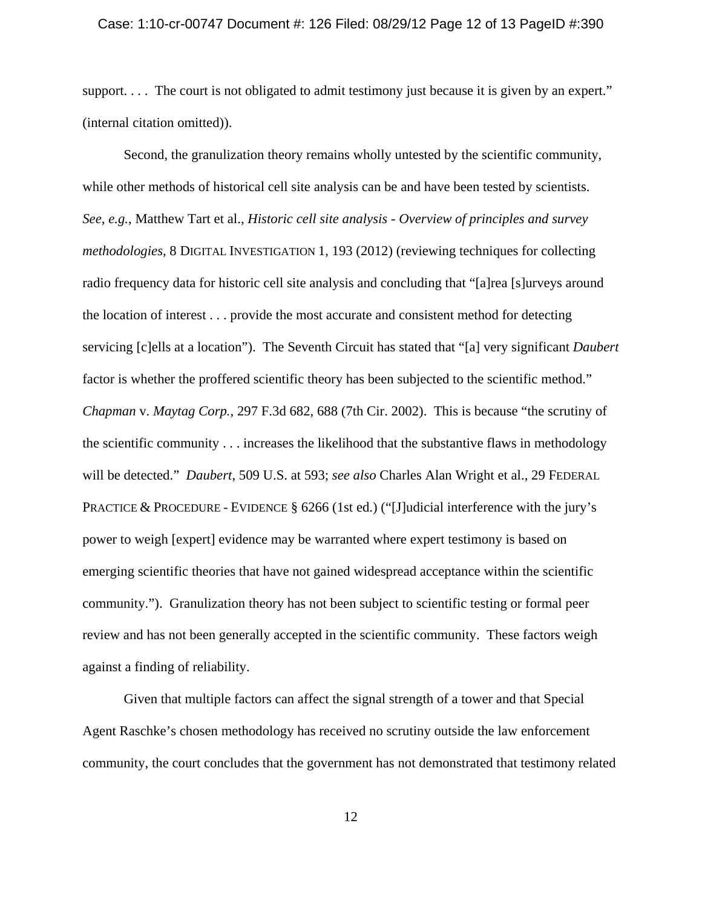#### Case: 1:10-cr-00747 Document #: 126 Filed: 08/29/12 Page 12 of 13 PageID #:390

support. . . . The court is not obligated to admit testimony just because it is given by an expert." (internal citation omitted)).

Second, the granulization theory remains wholly untested by the scientific community, while other methods of historical cell site analysis can be and have been tested by scientists. *See, e.g.*, Matthew Tart et al., *Historic cell site analysis - Overview of principles and survey methodologies*, 8 DIGITAL INVESTIGATION 1, 193 (2012) (reviewing techniques for collecting radio frequency data for historic cell site analysis and concluding that "[a]rea [s]urveys around the location of interest . . . provide the most accurate and consistent method for detecting servicing [c]ells at a location"). The Seventh Circuit has stated that "[a] very significant *Daubert* factor is whether the proffered scientific theory has been subjected to the scientific method." *Chapman* v. *Maytag Corp.*, 297 F.3d 682, 688 (7th Cir. 2002). This is because "the scrutiny of the scientific community . . . increases the likelihood that the substantive flaws in methodology will be detected." *Daubert*, 509 U.S. at 593; *see also* Charles Alan Wright et al., 29 FEDERAL PRACTICE & PROCEDURE - EVIDENCE § 6266 (1st ed.) ("[J]udicial interference with the jury's power to weigh [expert] evidence may be warranted where expert testimony is based on emerging scientific theories that have not gained widespread acceptance within the scientific community."). Granulization theory has not been subject to scientific testing or formal peer review and has not been generally accepted in the scientific community. These factors weigh against a finding of reliability.

Given that multiple factors can affect the signal strength of a tower and that Special Agent Raschke's chosen methodology has received no scrutiny outside the law enforcement community, the court concludes that the government has not demonstrated that testimony related